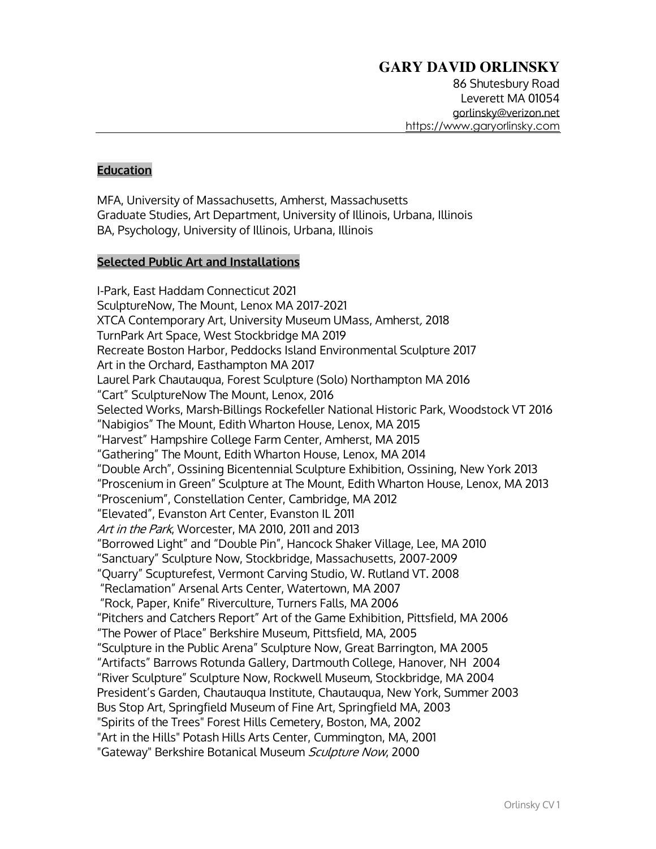86 Shutesbury Road Leverett MA 01054 gorlinsky@verizon.net https://www.garyorlinsky.com

## **Education**

MFA, University of Massachusetts, Amherst, Massachusetts Graduate Studies, Art Department, University of Illinois, Urbana, Illinois BA, Psychology, University of Illinois, Urbana, Illinois

## **Selected Public Art and Installations**

I-Park, East Haddam Connecticut 2021 SculptureNow, The Mount, Lenox MA 2017-2021 XTCA Contemporary Art, University Museum UMass, Amherst, 2018 TurnPark Art Space, West Stockbridge MA 2019 Recreate Boston Harbor, Peddocks Island Environmental Sculpture 2017 Art in the Orchard, Easthampton MA 2017 Laurel Park Chautauqua, Forest Sculpture (Solo) Northampton MA 2016 "Cart" SculptureNow The Mount, Lenox, 2016 Selected Works, Marsh-Billings Rockefeller National Historic Park, Woodstock VT 2016 "Nabigios" The Mount, Edith Wharton House, Lenox, MA 2015 "Harvest" Hampshire College Farm Center, Amherst, MA 2015 "Gathering" The Mount, Edith Wharton House, Lenox, MA 2014 "Double Arch", Ossining Bicentennial Sculpture Exhibition, Ossining, New York 2013 "Proscenium in Green" Sculpture at The Mount, Edith Wharton House, Lenox, MA 2013 "Proscenium", Constellation Center, Cambridge, MA 2012 "Elevated", Evanston Art Center, Evanston IL 2011 Art in the Park, Worcester, MA 2010, 2011 and 2013 "Borrowed Light" and "Double Pin", Hancock Shaker Village, Lee, MA 2010 "Sanctuary" Sculpture Now, Stockbridge, Massachusetts, 2007-2009 "Quarry" Scupturefest, Vermont Carving Studio, W. Rutland VT. 2008 "Reclamation" Arsenal Arts Center, Watertown, MA 2007 "Rock, Paper, Knife" Riverculture, Turners Falls, MA 2006 "Pitchers and Catchers Report" Art of the Game Exhibition, Pittsfield, MA 2006 "The Power of Place" Berkshire Museum, Pittsfield, MA, 2005 "Sculpture in the Public Arena" Sculpture Now, Great Barrington, MA 2005 "Artifacts" Barrows Rotunda Gallery, Dartmouth College, Hanover, NH 2004 "River Sculpture" Sculpture Now, Rockwell Museum, Stockbridge, MA 2004 President's Garden, Chautauqua Institute, Chautauqua, New York, Summer 2003 Bus Stop Art, Springfield Museum of Fine Art, Springfield MA, 2003 "Spirits of the Trees" Forest Hills Cemetery, Boston, MA, 2002 "Art in the Hills" Potash Hills Arts Center, Cummington, MA, 2001 "Gateway" Berkshire Botanical Museum Sculpture Now, 2000